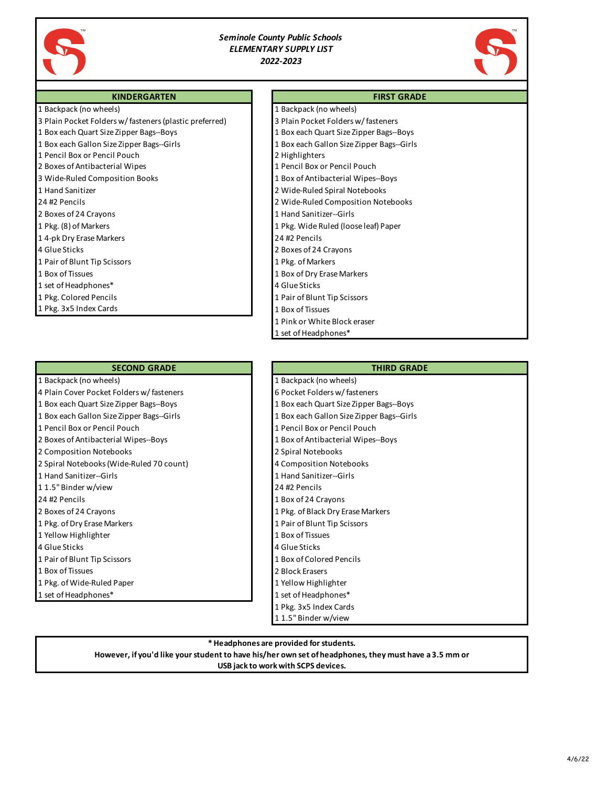

# *Seminole County Public Schools ELEMENTARY SUPPLY LIST 2022-2023*



### **KINDERGARTEN**

1 Backpack (no wheels)

- 3 Plain Pocket Folders w/ fasteners (plastic preferred)
- 1 Box each Quart Size Zipper Bags--Boys
- 1 Box each Gallon Size Zipper Bags--Girls
- 1 Pencil Box or Pencil Pouch
- 2 Boxes of Antibacterial Wipes
- 3 Wide-Ruled Composition Books
- 1 Hand Sanitizer
- 24 #2 Pencils
- 2 Boxes of 24 Crayons
- 1 Pkg. (8) of Markers
- 1 4-pk Dry Erase Markers
- 4 Glue Sticks
- 1 Pair of Blunt Tip Scissors
- 1 Box of Tissues
- 1 set of Headphones\*
- 1 Pkg. Colored Pencils
- 1 Pkg. 3x5 Index Cards

## **SECOND GRADE**

- 1 Backpack (no wheels)
- 4 Plain Cover Pocket Folders w/fasteners
- 1 Box each Quart Size Zipper Bags--Boys
- 1 Box each Gallon Size Zipper Bags--Girls
- 1 Pencil Box or Pencil Pouch
- 2 Boxes of Antibacterial Wipes--Boys
- 2 Composition Notebooks
- 2 Spiral Notebooks(Wide-Ruled 70 count)
- 1 Hand Sanitizer--Girls
- 1 1.5" Binder w/view
- 24 #2 Pencils
- 2 Boxes of 24 Crayons
- 1 Pkg. of Dry Erase Markers
- 1 Yellow Highlighter
- 4 Glue Sticks
- 1 Pair of Blunt Tip Scissors
- 1 Box of Tissues
- 1 Pkg. of Wide-Ruled Paper
- 1 set of Headphones\*
- **FIRST GRADE**
- 1 Backpack (no wheels)
- 3 Plain Pocket Folders w/ fasteners 1 Box each Quart Size Zipper Bags--Boys
- 1 Box each Gallon Size Zipper Bags--Girls
- 2 Highlighters
- 1 Pencil Box or Pencil Pouch
- 1 Box of Antibacterial Wipes--Boys
- 2 Wide-Ruled Spiral Notebooks
- 2 Wide-Ruled Composition Notebooks
- 1 Hand Sanitizer--Girls
- 1 Pkg. Wide Ruled (loose leaf) Paper
- 24 #2 Pencils
- 2 Boxes of 24 Crayons
- 1 Pkg. of Markers
- 1 Box of Dry Erase Markers
- 4 Glue Sticks
- 1 Pair of Blunt Tip Scissors
- 1 Box of Tissues
- 1 Pink or White Block eraser
- 1 set of Headphones\*

#### **THIRD GRADE**

- 1 Backpack (no wheels) 6 Pocket Folders w/fasteners
- 
- 1 Box each Quart Size Zipper Bags--Boys
- 1 Box each Gallon Size Zipper Bags--Girls 1 Pencil Box or Pencil Pouch
- 1 Box of Antibacterial Wipes--Boys
- 2 Spiral Notebooks
- 4 Composition Notebooks
- 1 Hand Sanitizer--Girls
- 24 #2 Pencils
- 1 Box of 24 Crayons
- 1 Pkg. of Black Dry Erase Markers
- 1 Pair of Blunt Tip Scissors
- 1 Box of Tissues
- 4 Glue Sticks
- 1 Box of Colored Pencils
- 2 Block Erasers
- 1 Yellow Highlighter
- 1 set of Headphones\*
- 1 Pkg. 3x5 Index Cards
- 1 1.5" Binder w/view

#### **\* Headphones are provided for students.**

**However, if you'd like your student to have his/her own set of headphones, they must have a 3.5 mm or USB jack to work with SCPS devices.**